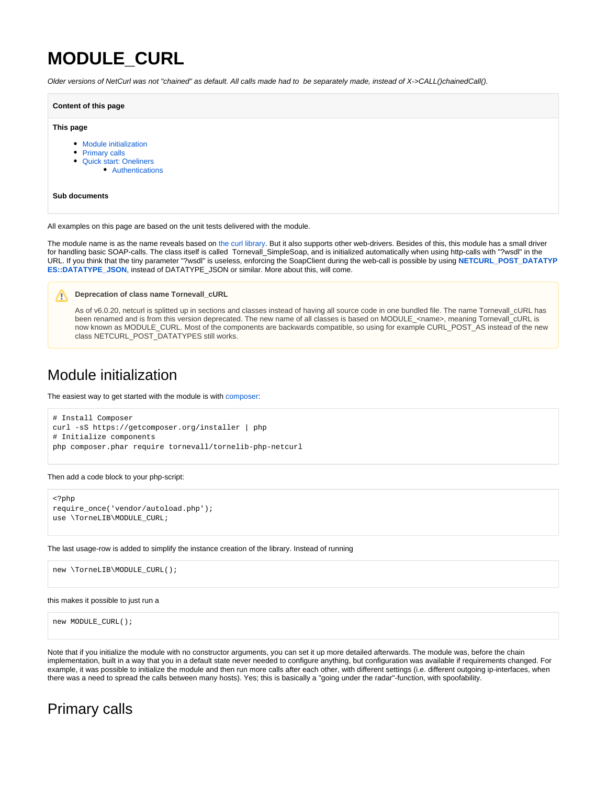# **MODULE\_CURL**

Older versions of NetCurl was not "chained" as default. All calls made had to be separately made, instead of X->CALL()chainedCall().

#### **Content of this page**

#### **This page**

- [Module initialization](#page-0-0)
- [Primary calls](#page-0-1)
- [Quick start: Oneliners](#page-1-0)
	- [Authentications](#page-1-1)

#### **Sub documents**

All examples on this page are based on the unit tests delivered with the module.

The module name is as the name reveals based on [the curl library.](https://curl.haxx.se/) But it also supports other web-drivers. Besides of this, this module has a small driver for handling basic SOAP-calls. The class itself is called Tornevall\_SimpleSoap, and is initialized automatically when using http-calls with "?wsdl" in the URL. If you think that the tiny parameter "?wsdl" is useless, enforcing the SoapClient during the web-call is possible by using **[NETCURL\\_POST\\_DATATYP](https://developer.tornevall.net/apigen/tornelib-php/netcurl/source-class-TorneLIB.NETCURL_POST_DATATYPES.html) [ES::DATATYPE\\_JSON](https://developer.tornevall.net/apigen/tornelib-php/netcurl/source-class-TorneLIB.NETCURL_POST_DATATYPES.html), instead of DATATYPE\_JSON or similar. More about this, will come.** 

#### **Deprecation of class name Tornevall\_cURL**

As of v6.0.20, netcurl is splitted up in sections and classes instead of having all source code in one bundled file. The name Tornevall\_cURL has been renamed and is from this version deprecated. The new name of all classes is based on MODULE\_<name>, meaning Tornevall\_cURL is now known as MODULE\_CURL. Most of the components are backwards compatible, so using for example CURL\_POST\_AS instead of the new class NETCURL\_POST\_DATATYPES still works.

## <span id="page-0-0"></span>Module initialization

The easiest way to get started with the module is with [composer:](https://getcomposer.org)

```
# Install Composer
curl -sS https://getcomposer.org/installer | php
# Initialize components
php composer.phar require tornevall/tornelib-php-netcurl
```
#### Then add a code block to your php-script:

```
<?php
require_once('vendor/autoload.php');
use \TorneLIB\MODULE_CURL;
```
The last usage-row is added to simplify the instance creation of the library. Instead of running

```
new \TorneLIB\MODULE_CURL();
```
#### this makes it possible to just run a

```
new MODULE_CURL();
```
Note that if you initialize the module with no constructor arguments, you can set it up more detailed afterwards. The module was, before the chain implementation, built in a way that you in a default state never needed to configure anything, but configuration was available if requirements changed. For example, it was possible to initialize the module and then run more calls after each other, with different settings (i.e. different outgoing ip-interfaces, when there was a need to spread the calls between many hosts). Yes; this is basically a "going under the radar"-function, with spoofability.

## <span id="page-0-1"></span>Primary calls